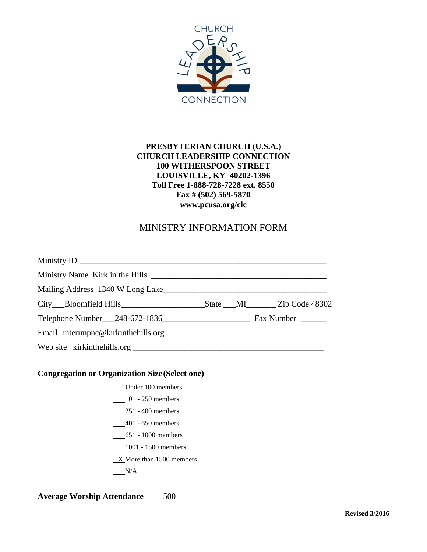

#### **PRESBYTERIAN CHURCH (U.S.A.) CHURCH LEADERSHIP CONNECTION 100 WITHERSPOON STREET LOUISVILLE, KY 40202-1396 Toll Free 1-888-728-7228 ext. 8550 Fax # (502) 569-5870 www.pcusa.org/clc**

## MINISTRY INFORMATION FORM

#### **Congregation or Organization Size(Select one)**

- Under 100 members
- 101 250 members
- 251 400 members
- \_\_\_\_401 650 members
- 651 1000 members
- 1001 1500 members
- $X$  More than 1500 members
- $N/A$

**Average Worship Attendance** 500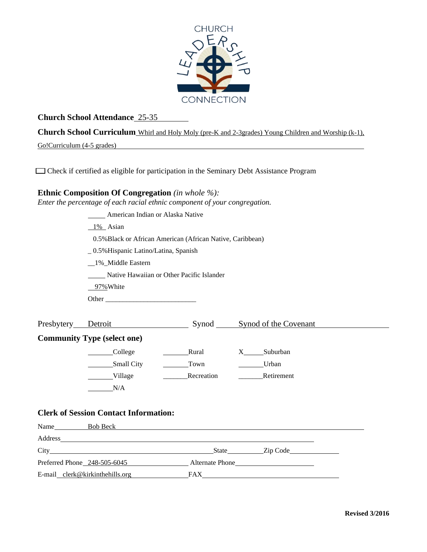

### **Church School Attendance** 25-35

**Church School Curriculum** Whirl and Holy Moly (pre-K and 2-3grades) Young Children and Worship (k-1),

Go!Curriculum (4-5 grades)

Check if certified as eligible for participation in the Seminary Debt Assistance Program

## **Ethnic Composition Of Congregation** *(in whole %):*

*Enter the percentage of each racial ethnic component of your congregation.*

| <b>Example 21 American Indian or Alaska Native</b>         |                        |            |  |  |  |  |  |  |  |
|------------------------------------------------------------|------------------------|------------|--|--|--|--|--|--|--|
| 1% Asian                                                   |                        |            |  |  |  |  |  |  |  |
| 0.5% Black or African American (African Native, Caribbean) |                        |            |  |  |  |  |  |  |  |
| _0.5% Hispanic Latino/Latina, Spanish                      |                        |            |  |  |  |  |  |  |  |
| _1%_Middle Eastern                                         |                        |            |  |  |  |  |  |  |  |
| Native Hawaiian or Other Pacific Islander                  |                        |            |  |  |  |  |  |  |  |
| 97% White                                                  |                        |            |  |  |  |  |  |  |  |
|                                                            |                        |            |  |  |  |  |  |  |  |
|                                                            |                        |            |  |  |  |  |  |  |  |
| Presbytery Detroit Synod Synod Synod of the Covenant       |                        |            |  |  |  |  |  |  |  |
| <b>Community Type (select one)</b>                         |                        |            |  |  |  |  |  |  |  |
| College                                                    | <b>Example 1</b> Rural | X Suburban |  |  |  |  |  |  |  |
| Small City                                                 | Town                   | _____Urban |  |  |  |  |  |  |  |
| Village                                                    | Recreation             | Retirement |  |  |  |  |  |  |  |
| N/A                                                        |                        |            |  |  |  |  |  |  |  |
|                                                            |                        |            |  |  |  |  |  |  |  |
| <b>Clerk of Session Contact Information:</b>               |                        |            |  |  |  |  |  |  |  |
|                                                            |                        |            |  |  |  |  |  |  |  |
|                                                            |                        |            |  |  |  |  |  |  |  |
|                                                            |                        |            |  |  |  |  |  |  |  |
| Preferred Phone 248-505-6045 Alternate Phone               |                        |            |  |  |  |  |  |  |  |
|                                                            |                        |            |  |  |  |  |  |  |  |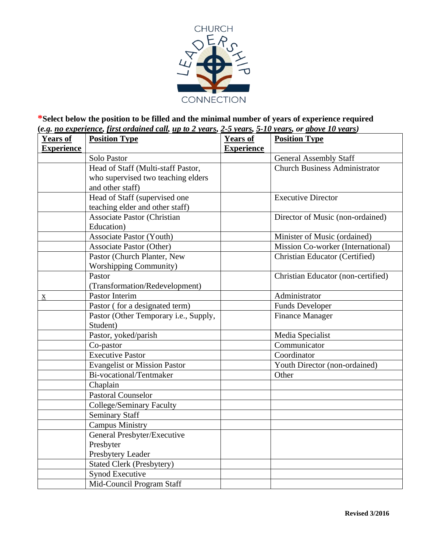

**\*Select below the position to be filled and the minimal number of years of experience required (***e.g. no experience, first ordained call, up to 2 years, 2-5 years, 5-10 years, or above 10 years)*

| <b>Years of</b>          | <b>Position Type</b>                  | <b>Years of</b>   | <b>Position Type</b>                  |
|--------------------------|---------------------------------------|-------------------|---------------------------------------|
| <b>Experience</b>        |                                       | <b>Experience</b> |                                       |
|                          | Solo Pastor                           |                   | <b>General Assembly Staff</b>         |
|                          | Head of Staff (Multi-staff Pastor,    |                   | <b>Church Business Administrator</b>  |
|                          | who supervised two teaching elders    |                   |                                       |
|                          | and other staff)                      |                   |                                       |
|                          | Head of Staff (supervised one         |                   | <b>Executive Director</b>             |
|                          | teaching elder and other staff)       |                   |                                       |
|                          | Associate Pastor (Christian           |                   | Director of Music (non-ordained)      |
|                          | Education)                            |                   |                                       |
|                          | <b>Associate Pastor (Youth)</b>       |                   | Minister of Music (ordained)          |
|                          | <b>Associate Pastor (Other)</b>       |                   | Mission Co-worker (International)     |
|                          | Pastor (Church Planter, New           |                   | <b>Christian Educator (Certified)</b> |
|                          | <b>Worshipping Community)</b>         |                   |                                       |
|                          | Pastor                                |                   | Christian Educator (non-certified)    |
|                          | (Transformation/Redevelopment)        |                   |                                       |
| $\underline{\mathbf{X}}$ | <b>Pastor Interim</b>                 |                   | Administrator                         |
|                          | Pastor (for a designated term)        |                   | <b>Funds Developer</b>                |
|                          | Pastor (Other Temporary i.e., Supply, |                   | <b>Finance Manager</b>                |
|                          | Student)                              |                   |                                       |
|                          | Pastor, yoked/parish                  |                   | Media Specialist                      |
|                          | Co-pastor                             |                   | Communicator                          |
|                          | <b>Executive Pastor</b>               |                   | Coordinator                           |
|                          | <b>Evangelist or Mission Pastor</b>   |                   | Youth Director (non-ordained)         |
|                          | Bi-vocational/Tentmaker               |                   | Other                                 |
|                          | Chaplain                              |                   |                                       |
|                          | <b>Pastoral Counselor</b>             |                   |                                       |
|                          | College/Seminary Faculty              |                   |                                       |
|                          | <b>Seminary Staff</b>                 |                   |                                       |
|                          | <b>Campus Ministry</b>                |                   |                                       |
|                          | General Presbyter/Executive           |                   |                                       |
|                          | Presbyter                             |                   |                                       |
|                          | Presbytery Leader                     |                   |                                       |
|                          | <b>Stated Clerk (Presbytery)</b>      |                   |                                       |
|                          | <b>Synod Executive</b>                |                   |                                       |
|                          | Mid-Council Program Staff             |                   |                                       |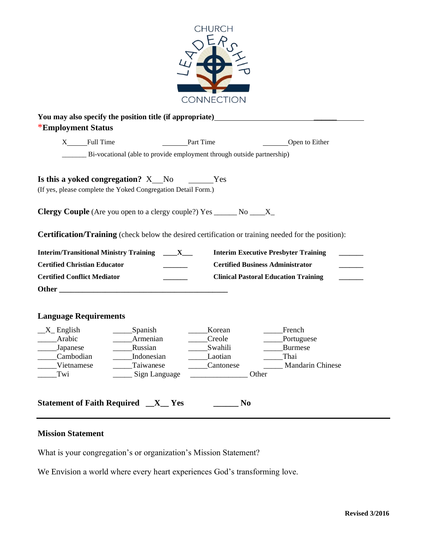

| $X$ Full Time                                                 | <b>Part Time</b>           |                                                                                  | Open to Either                                                                                      |
|---------------------------------------------------------------|----------------------------|----------------------------------------------------------------------------------|-----------------------------------------------------------------------------------------------------|
|                                                               |                            | _________ Bi-vocational (able to provide employment through outside partnership) |                                                                                                     |
| Is this a yoked congregation? X_No _______Yes                 |                            |                                                                                  |                                                                                                     |
| (If yes, please complete the Yoked Congregation Detail Form.) |                            |                                                                                  |                                                                                                     |
|                                                               |                            | <b>Clergy Couple</b> (Are you open to a clergy couple?) $Yes \_\_\_No \_\_X$     |                                                                                                     |
|                                                               |                            |                                                                                  |                                                                                                     |
|                                                               |                            |                                                                                  | Certification/Training (check below the desired certification or training needed for the position): |
| <b>Interim/Transitional Ministry Training ____ X___</b>       |                            |                                                                                  | <b>Interim Executive Presbyter Training</b>                                                         |
| <b>Certified Christian Educator</b>                           |                            |                                                                                  | <b>Certified Business Administrator</b>                                                             |
| <b>Certified Conflict Mediator</b>                            | $\frac{1}{1}$              |                                                                                  | <b>Clinical Pastoral Education Training</b>                                                         |
|                                                               |                            |                                                                                  |                                                                                                     |
|                                                               |                            |                                                                                  |                                                                                                     |
|                                                               |                            |                                                                                  |                                                                                                     |
| <b>Language Requirements</b>                                  |                            |                                                                                  |                                                                                                     |
| $X$ <sub>-</sub> English                                      | ______Spanish              | <b>Korean</b>                                                                    | French                                                                                              |
| _____Arabic                                                   | _____Armenian              | ____Creole                                                                       | Portuguese                                                                                          |
| $\frac{\ }{\ }$ Japanese                                      | Russian                    | ________Swahili                                                                  | <b>Burmese</b>                                                                                      |
| Cambodian                                                     | Indonesian                 | _______Laotian                                                                   | Thai                                                                                                |
| Vietnamese<br>Twi                                             | Taiwanese<br>Sign Language | Cantonese<br>$\overline{\phantom{a}}$                                            | <b>Mandarin Chinese</b><br>Other                                                                    |

## **Mission Statement**

What is your congregation's or organization's Mission Statement?

We Envision a world where every heart experiences God's transforming love.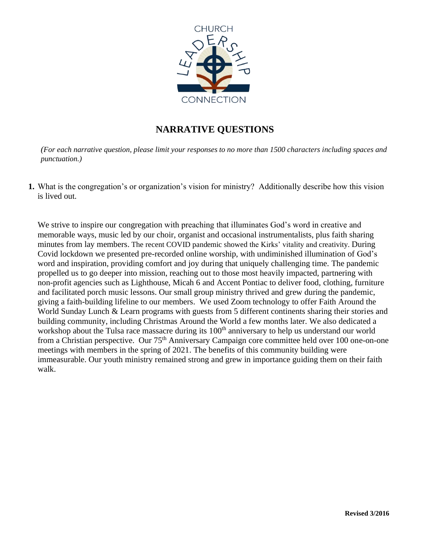

# **NARRATIVE QUESTIONS**

*(For each narrative question, please limit your responses to no more than 1500 characters including spaces and punctuation.)*

**1.** What is the congregation's or organization's vision for ministry? Additionally describe how this vision is lived out.

We strive to inspire our congregation with preaching that illuminates God's word in creative and memorable ways, music led by our choir, organist and occasional instrumentalists, plus faith sharing minutes from lay members. The recent COVID pandemic showed the Kirks' vitality and creativity. During Covid lockdown we presented pre-recorded online worship, with undiminished illumination of God's word and inspiration, providing comfort and joy during that uniquely challenging time. The pandemic propelled us to go deeper into mission, reaching out to those most heavily impacted, partnering with non-profit agencies such as Lighthouse, Micah 6 and Accent Pontiac to deliver food, clothing, furniture and facilitated porch music lessons. Our small group ministry thrived and grew during the pandemic, giving a faith-building lifeline to our members. We used Zoom technology to offer Faith Around the World Sunday Lunch & Learn programs with guests from 5 different continents sharing their stories and building community, including Christmas Around the World a few months later. We also dedicated a workshop about the Tulsa race massacre during its 100<sup>th</sup> anniversary to help us understand our world from a Christian perspective. Our 75<sup>th</sup> Anniversary Campaign core committee held over 100 one-on-one meetings with members in the spring of 2021. The benefits of this community building were immeasurable. Our youth ministry remained strong and grew in importance guiding them on their faith walk.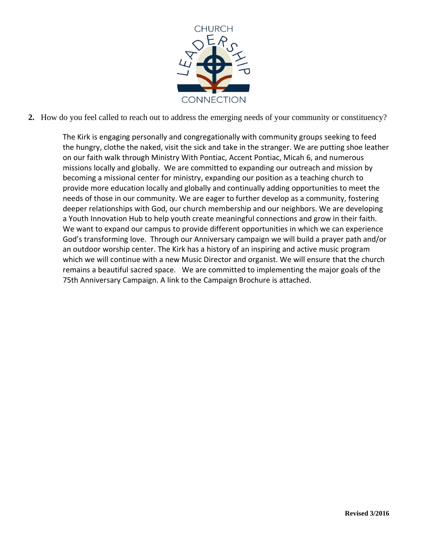

**2.** How do you feel called to reach out to address the emerging needs of your community or constituency?

The Kirk is engaging personally and congregationally with community groups seeking to feed the hungry, clothe the naked, visit the sick and take in the stranger. We are putting shoe leather on our faith walk through Ministry With Pontiac, Accent Pontiac, Micah 6, and numerous missions locally and globally. We are committed to expanding our outreach and mission by becoming a missional center for ministry, expanding our position as a teaching church to provide more education locally and globally and continually adding opportunities to meet the needs of those in our community. We are eager to further develop as a community, fostering deeper relationships with God, our church membership and our neighbors. We are developing a Youth Innovation Hub to help youth create meaningful connections and grow in their faith. We want to expand our campus to provide different opportunities in which we can experience God's transforming love. Through our Anniversary campaign we will build a prayer path and/or an outdoor worship center. The Kirk has a history of an inspiring and active music program which we will continue with a new Music Director and organist. We will ensure that the church remains a beautiful sacred space. We are committed to implementing the major goals of the 75th Anniversary Campaign. A link to the Campaign Brochure is attached.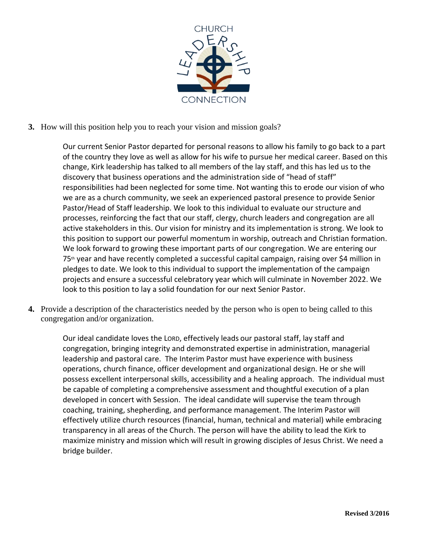

**3.** How will this position help you to reach your vision and mission goals?

Our current Senior Pastor departed for personal reasons to allow his family to go back to a part of the country they love as well as allow for his wife to pursue her medical career. Based on this change, Kirk leadership has talked to all members of the lay staff, and this has led us to the discovery that business operations and the administration side of "head of staff" responsibilities had been neglected for some time. Not wanting this to erode our vision of who we are as a church community, we seek an experienced pastoral presence to provide Senior Pastor/Head of Staff leadership. We look to this individual to evaluate our structure and processes, reinforcing the fact that our staff, clergy, church leaders and congregation are all active stakeholders in this. Our vision for ministry and its implementation is strong. We look to this position to support our powerful momentum in worship, outreach and Christian formation. We look forward to growing these important parts of our congregation. We are entering our 75th year and have recently completed a successful capital campaign, raising over \$4 million in pledges to date. We look to this individual to support the implementation of the campaign projects and ensure a successful celebratory year which will culminate in November 2022. We look to this position to lay a solid foundation for our next Senior Pastor.

**4.** Provide a description of the characteristics needed by the person who is open to being called to this congregation and/or organization.

Our ideal candidate loves the LORD, effectively leads our pastoral staff, lay staff and congregation, bringing integrity and demonstrated expertise in administration, managerial leadership and pastoral care. The Interim Pastor must have experience with business operations, church finance, officer development and organizational design. He or she will possess excellent interpersonal skills, accessibility and a healing approach. The individual must be capable of completing a comprehensive assessment and thoughtful execution of a plan developed in concert with Session. The ideal candidate will supervise the team through coaching, training, shepherding, and performance management. The Interim Pastor will effectively utilize church resources (financial, human, technical and material) while embracing transparency in all areas of the Church. The person will have the ability to lead the Kirk to maximize ministry and mission which will result in growing disciples of Jesus Christ. We need a bridge builder.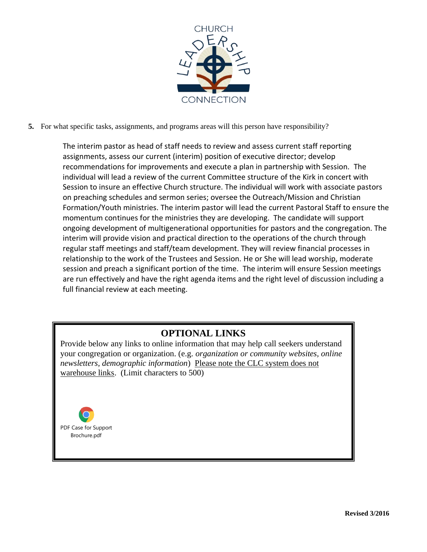

**5.** For what specific tasks, assignments, and programs areas will this person have responsibility?

The interim pastor as head of staff needs to review and assess current staff reporting assignments, assess our current (interim) position of executive director; develop recommendations for improvements and execute a plan in partnership with Session. The individual will lead a review of the current Committee structure of the Kirk in concert with Session to insure an effective Church structure. The individual will work with associate pastors on preaching schedules and sermon series; oversee the Outreach/Mission and Christian Formation/Youth ministries. The interim pastor will lead the current Pastoral Staff to ensure the momentum continues for the ministries they are developing. The candidate will support ongoing development of multigenerational opportunities for pastors and the congregation. The interim will provide vision and practical direction to the operations of the church through regular staff meetings and staff/team development. They will review financial processes in relationship to the work of the Trustees and Session. He or She will lead worship, moderate session and preach a significant portion of the time. The interim will ensure Session meetings are run effectively and have the right agenda items and the right level of discussion including a full financial review at each meeting.

# **OPTIONAL LINKS**

Provide below any links to online information that may help call seekers understand your congregation or organization. (e.g. *organization or community websites, online newsletters, demographic information*) Please note the CLC system does not warehouse links. (Limit characters to 500)

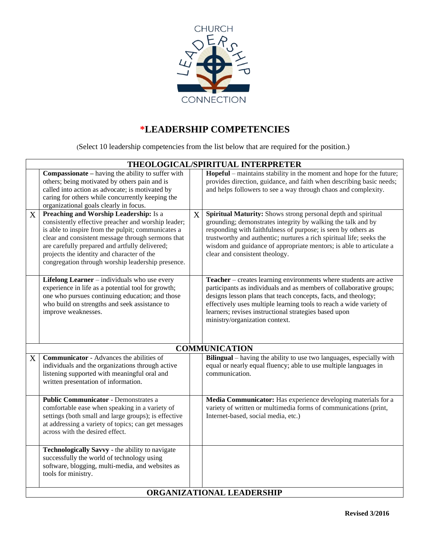

# **\*LEADERSHIP COMPETENCIES**

(Select 10 leadership competencies from the list below that are required for the position.)

|   | THEOLOGICAL/SPIRITUAL INTERPRETER                                                                                                                                                                                                                                                                                                                             |   |                                                                                                                                                                                                                                                                                                                                                                                 |  |  |
|---|---------------------------------------------------------------------------------------------------------------------------------------------------------------------------------------------------------------------------------------------------------------------------------------------------------------------------------------------------------------|---|---------------------------------------------------------------------------------------------------------------------------------------------------------------------------------------------------------------------------------------------------------------------------------------------------------------------------------------------------------------------------------|--|--|
|   | <b>Compassionate</b> – having the ability to suffer with<br>others; being motivated by others pain and is<br>called into action as advocate; is motivated by<br>caring for others while concurrently keeping the<br>organizational goals clearly in focus.                                                                                                    |   | Hopeful – maintains stability in the moment and hope for the future;<br>provides direction, guidance, and faith when describing basic needs;<br>and helps followers to see a way through chaos and complexity.                                                                                                                                                                  |  |  |
| X | Preaching and Worship Leadership: Is a<br>consistently effective preacher and worship leader;<br>is able to inspire from the pulpit; communicates a<br>clear and consistent message through sermons that<br>are carefully prepared and artfully delivered;<br>projects the identity and character of the<br>congregation through worship leadership presence. | X | Spiritual Maturity: Shows strong personal depth and spiritual<br>grounding; demonstrates integrity by walking the talk and by<br>responding with faithfulness of purpose; is seen by others as<br>trustworthy and authentic; nurtures a rich spiritual life; seeks the<br>wisdom and guidance of appropriate mentors; is able to articulate a<br>clear and consistent theology. |  |  |
|   | Lifelong Learner - individuals who use every<br>experience in life as a potential tool for growth;<br>one who pursues continuing education; and those<br>who build on strengths and seek assistance to<br>improve weaknesses.                                                                                                                                 |   | Teacher – creates learning environments where students are active<br>participants as individuals and as members of collaborative groups;<br>designs lesson plans that teach concepts, facts, and theology;<br>effectively uses multiple learning tools to reach a wide variety of<br>learners; revises instructional strategies based upon<br>ministry/organization context.    |  |  |
|   |                                                                                                                                                                                                                                                                                                                                                               |   | <b>COMMUNICATION</b>                                                                                                                                                                                                                                                                                                                                                            |  |  |
| X | <b>Communicator</b> - Advances the abilities of<br>individuals and the organizations through active<br>listening supported with meaningful oral and<br>written presentation of information.                                                                                                                                                                   |   | Bilingual – having the ability to use two languages, especially with<br>equal or nearly equal fluency; able to use multiple languages in<br>communication.                                                                                                                                                                                                                      |  |  |
|   | <b>Public Communicator - Demonstrates a</b><br>comfortable ease when speaking in a variety of<br>settings (both small and large groups); is effective<br>at addressing a variety of topics; can get messages<br>across with the desired effect.                                                                                                               |   | Media Communicator: Has experience developing materials for a<br>variety of written or multimedia forms of communications (print,<br>Internet-based, social media, etc.)                                                                                                                                                                                                        |  |  |
|   | Technologically Savvy - the ability to navigate<br>successfully the world of technology using<br>software, blogging, multi-media, and websites as<br>tools for ministry.                                                                                                                                                                                      |   |                                                                                                                                                                                                                                                                                                                                                                                 |  |  |
|   | ORGANIZATIONAL LEADERSHIP                                                                                                                                                                                                                                                                                                                                     |   |                                                                                                                                                                                                                                                                                                                                                                                 |  |  |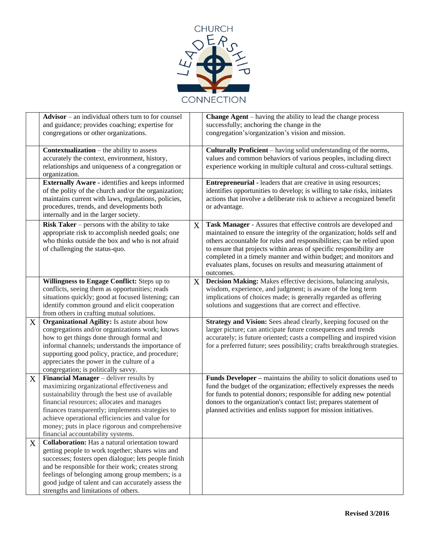

|             | $Advisor - an individual others turn to for course$<br>and guidance; provides coaching; expertise for<br>congregations or other organizations.                                                                                                                                                                                                                                               |   | <b>Change Agent</b> – having the ability to lead the change process<br>successfully; anchoring the change in the<br>congregation's/organization's vision and mission.                                                                                                                                                                                                                                                                          |
|-------------|----------------------------------------------------------------------------------------------------------------------------------------------------------------------------------------------------------------------------------------------------------------------------------------------------------------------------------------------------------------------------------------------|---|------------------------------------------------------------------------------------------------------------------------------------------------------------------------------------------------------------------------------------------------------------------------------------------------------------------------------------------------------------------------------------------------------------------------------------------------|
|             | <b>Contextualization</b> $-$ the ability to assess<br>accurately the context, environment, history,<br>relationships and uniqueness of a congregation or<br>organization.                                                                                                                                                                                                                    |   | Culturally Proficient – having solid understanding of the norms,<br>values and common behaviors of various peoples, including direct<br>experience working in multiple cultural and cross-cultural settings.                                                                                                                                                                                                                                   |
|             | Externally Aware - identifies and keeps informed<br>of the polity of the church and/or the organization;<br>maintains current with laws, regulations, policies,<br>procedures, trends, and developments both<br>internally and in the larger society.                                                                                                                                        |   | <b>Entrepreneurial - leaders that are creative in using resources;</b><br>identifies opportunities to develop; is willing to take risks, initiates<br>actions that involve a deliberate risk to achieve a recognized benefit<br>or advantage.                                                                                                                                                                                                  |
|             | <b>Risk Taker</b> – persons with the ability to take<br>appropriate risk to accomplish needed goals; one<br>who thinks outside the box and who is not afraid<br>of challenging the status-quo.                                                                                                                                                                                               | X | Task Manager - Assures that effective controls are developed and<br>maintained to ensure the integrity of the organization; holds self and<br>others accountable for rules and responsibilities; can be relied upon<br>to ensure that projects within areas of specific responsibility are<br>completed in a timely manner and within budget; and monitors and<br>evaluates plans, focuses on results and measuring attainment of<br>outcomes. |
|             | Willingness to Engage Conflict: Steps up to<br>conflicts, seeing them as opportunities; reads<br>situations quickly; good at focused listening; can<br>identify common ground and elicit cooperation<br>from others in crafting mutual solutions.                                                                                                                                            | X | Decision Making: Makes effective decisions, balancing analysis,<br>wisdom, experience, and judgment; is aware of the long term<br>implications of choices made; is generally regarded as offering<br>solutions and suggestions that are correct and effective.                                                                                                                                                                                 |
| $\mathbf X$ | <b>Organizational Agility:</b> Is astute about how<br>congregations and/or organizations work; knows<br>how to get things done through formal and<br>informal channels; understands the importance of<br>supporting good policy, practice, and procedure;<br>appreciates the power in the culture of a<br>congregation; is politically savvy.                                                |   | Strategy and Vision: Sees ahead clearly, keeping focused on the<br>larger picture; can anticipate future consequences and trends<br>accurately; is future oriented; casts a compelling and inspired vision<br>for a preferred future; sees possibility; crafts breakthrough strategies.                                                                                                                                                        |
| X           | <b>Financial Manager</b> – deliver results by<br>maximizing organizational effectiveness and<br>sustainability through the best use of available<br>financial resources; allocates and manages<br>finances transparently; implements strategies to<br>achieve operational efficiencies and value for<br>money; puts in place rigorous and comprehensive<br>financial accountability systems. |   | Funds Developer - maintains the ability to solicit donations used to<br>fund the budget of the organization; effectively expresses the needs<br>for funds to potential donors; responsible for adding new potential<br>donors to the organization's contact list; prepares statement of<br>planned activities and enlists support for mission initiatives.                                                                                     |
| X           | <b>Collaboration:</b> Has a natural orientation toward<br>getting people to work together; shares wins and<br>successes; fosters open dialogue; lets people finish<br>and be responsible for their work; creates strong<br>feelings of belonging among group members; is a<br>good judge of talent and can accurately assess the<br>strengths and limitations of others.                     |   |                                                                                                                                                                                                                                                                                                                                                                                                                                                |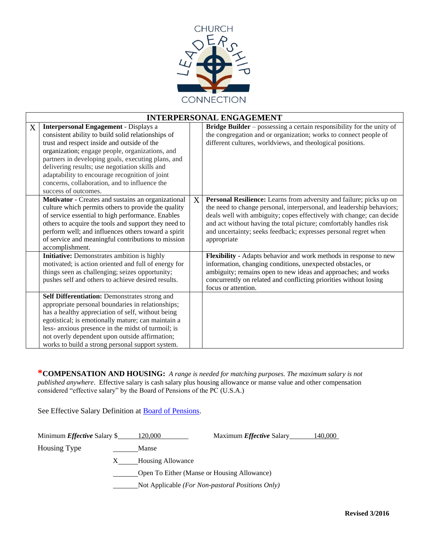

|   | <b>INTERPERSONAL ENGAGEMENT</b>                                                                                                                                                                                                                                                                                                                                                                                                         |   |                                                                                                                                                                                                                                                                                                                                                                              |  |  |
|---|-----------------------------------------------------------------------------------------------------------------------------------------------------------------------------------------------------------------------------------------------------------------------------------------------------------------------------------------------------------------------------------------------------------------------------------------|---|------------------------------------------------------------------------------------------------------------------------------------------------------------------------------------------------------------------------------------------------------------------------------------------------------------------------------------------------------------------------------|--|--|
| X | <b>Interpersonal Engagement - Displays a</b><br>consistent ability to build solid relationships of<br>trust and respect inside and outside of the<br>organization; engage people, organizations, and<br>partners in developing goals, executing plans, and<br>delivering results; use negotiation skills and<br>adaptability to encourage recognition of joint<br>concerns, collaboration, and to influence the<br>success of outcomes. |   | <b>Bridge Builder</b> – possessing a certain responsibility for the unity of<br>the congregation and or organization; works to connect people of<br>different cultures, worldviews, and theological positions.                                                                                                                                                               |  |  |
|   | Motivator - Creates and sustains an organizational<br>culture which permits others to provide the quality<br>of service essential to high performance. Enables<br>others to acquire the tools and support they need to<br>perform well; and influences others toward a spirit<br>of service and meaningful contributions to mission<br>accomplishment.                                                                                  | X | Personal Resilience: Learns from adversity and failure; picks up on<br>the need to change personal, interpersonal, and leadership behaviors;<br>deals well with ambiguity; copes effectively with change; can decide<br>and act without having the total picture; comfortably handles risk<br>and uncertainty; seeks feedback; expresses personal regret when<br>appropriate |  |  |
|   | <b>Initiative:</b> Demonstrates ambition is highly<br>motivated; is action oriented and full of energy for<br>things seen as challenging; seizes opportunity;<br>pushes self and others to achieve desired results.                                                                                                                                                                                                                     |   | Flexibility - Adapts behavior and work methods in response to new<br>information, changing conditions, unexpected obstacles, or<br>ambiguity; remains open to new ideas and approaches; and works<br>concurrently on related and conflicting priorities without losing<br>focus or attention.                                                                                |  |  |
|   | Self Differentiation: Demonstrates strong and<br>appropriate personal boundaries in relationships;<br>has a healthy appreciation of self, without being<br>egotistical; is emotionally mature; can maintain a<br>less- anxious presence in the midst of turmoil; is<br>not overly dependent upon outside affirmation;<br>works to build a strong personal support system.                                                               |   |                                                                                                                                                                                                                                                                                                                                                                              |  |  |

**\*COMPENSATION AND HOUSING:** *A range is needed for matching purposes. The maximum salary is not published anywhere*. Effective salary is cash salary plus housing allowance or manse value and other compensation considered "effective salary" by the Board of Pensions of the PC (U.S.A.)

See Effective Salary Definition at **Board of Pensions**.

| Minimum <i>Effective</i> Salary \$1120,000 |                                                  | Maximum <i>Effective</i> Salary | 140,000 |
|--------------------------------------------|--------------------------------------------------|---------------------------------|---------|
| Housing Type                               | Manse                                            |                                 |         |
|                                            | <b>Housing Allowance</b>                         |                                 |         |
|                                            | Open To Either (Manse or Housing Allowance)      |                                 |         |
|                                            | Not Applicable (For Non-pastoral Positions Only) |                                 |         |
|                                            |                                                  |                                 |         |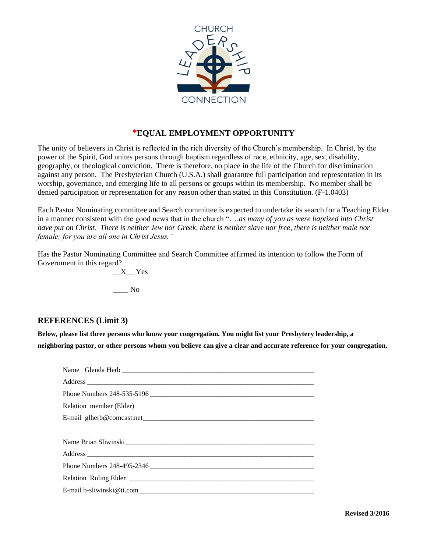

### **\*EQUAL EMPLOYMENT OPPORTUNITY**

The unity of believers in Christ is reflected in the rich diversity of the Church's membership. In Christ, by the power of the Spirit, God unites persons through baptism regardless of race, ethnicity, age, sex, disability, geography, or theological conviction. There is therefore, no place in the life of the Church for discrimination against any person. The Presbyterian Church (U.S.A.) shall guarantee full participation and representation in its worship, governance, and emerging life to all persons or groups within its membership. No member shall be denied participation or representation for any reason other than stated in this Constitution. (F-1.0403)

Each Pastor Nominating committee and Search committee is expected to undertake its search for a Teaching Elder in a manner consistent with the good news that in the church "….*as many of you as were baptized into Christ have put on Christ. There is neither Jew nor Greek, there is neither slave nor free, there is neither male nor female; for you are all one in Christ Jesus."*

Has the Pastor Nominating Committee and Search Committee affirmed its intention to follow the Form of Government in this regard?

\_\_X\_\_ Yes \_\_\_\_ No

#### **REFERENCES (Limit 3)**

**Below, please list three persons who know your congregation. You might list your Presbytery leadership, a neighboring pastor, or other persons whom you believe can give a clear and accurate reference for your congregation.**

| Phone Numbers 248-535-5196 |
|----------------------------|
| Relation member (Elder)    |
|                            |
|                            |
|                            |
|                            |
|                            |
|                            |
|                            |